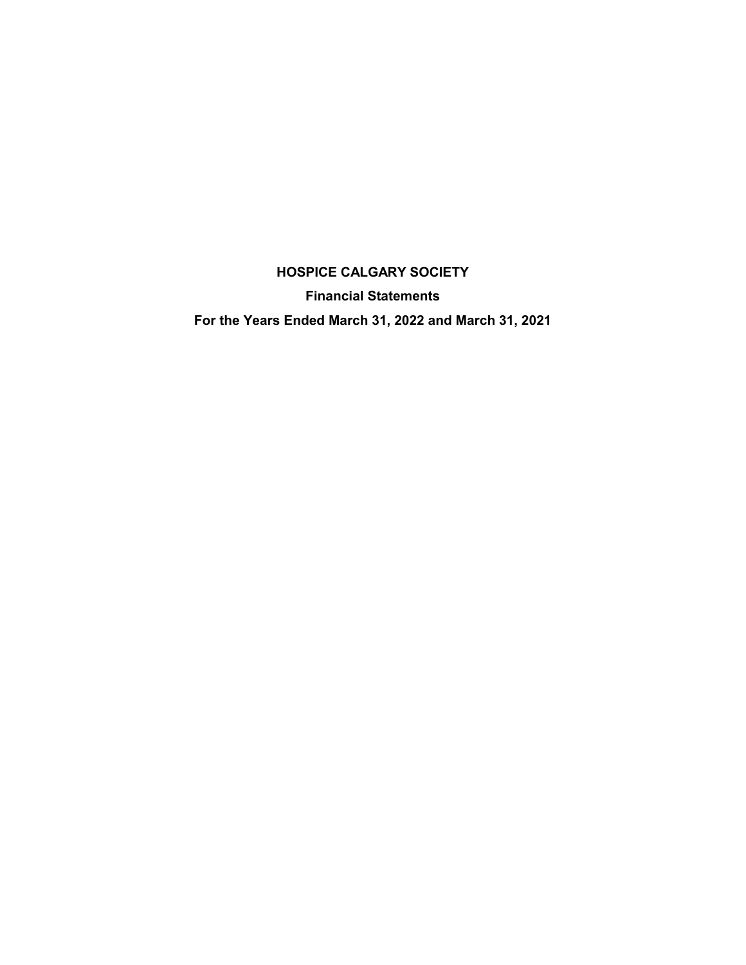**Financial Statements**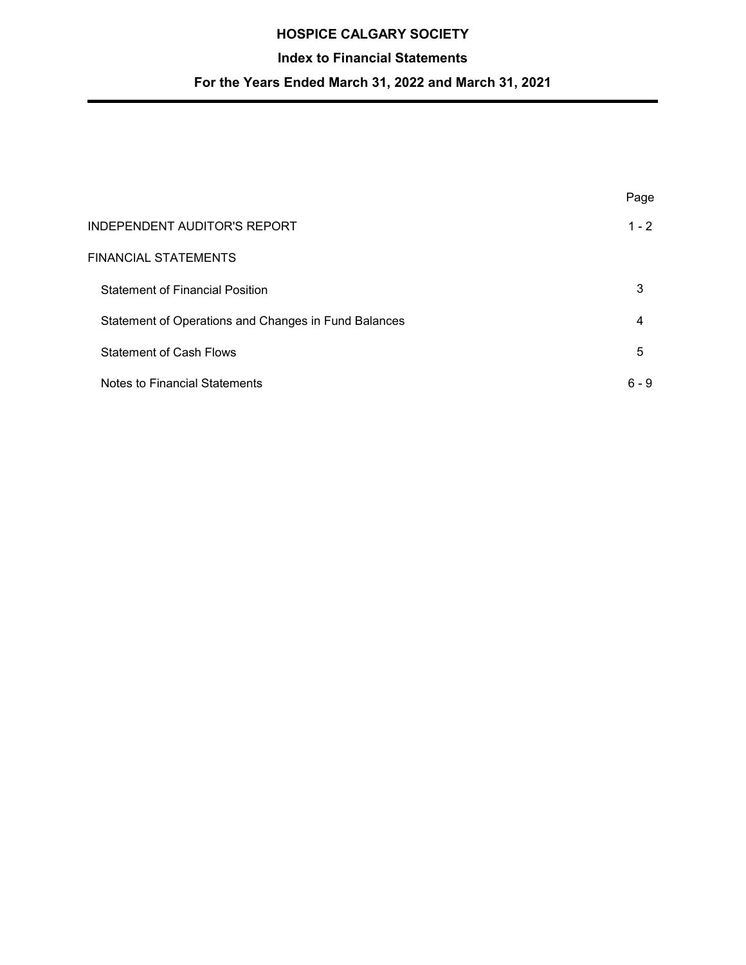## **Index to Financial Statements**

|                                                      | Page    |
|------------------------------------------------------|---------|
| <b>INDEPENDENT AUDITOR'S REPORT</b>                  | $1 - 2$ |
| FINANCIAL STATEMENTS                                 |         |
| <b>Statement of Financial Position</b>               | 3       |
| Statement of Operations and Changes in Fund Balances | 4       |
| <b>Statement of Cash Flows</b>                       | 5       |
| Notes to Financial Statements                        | $6 - 9$ |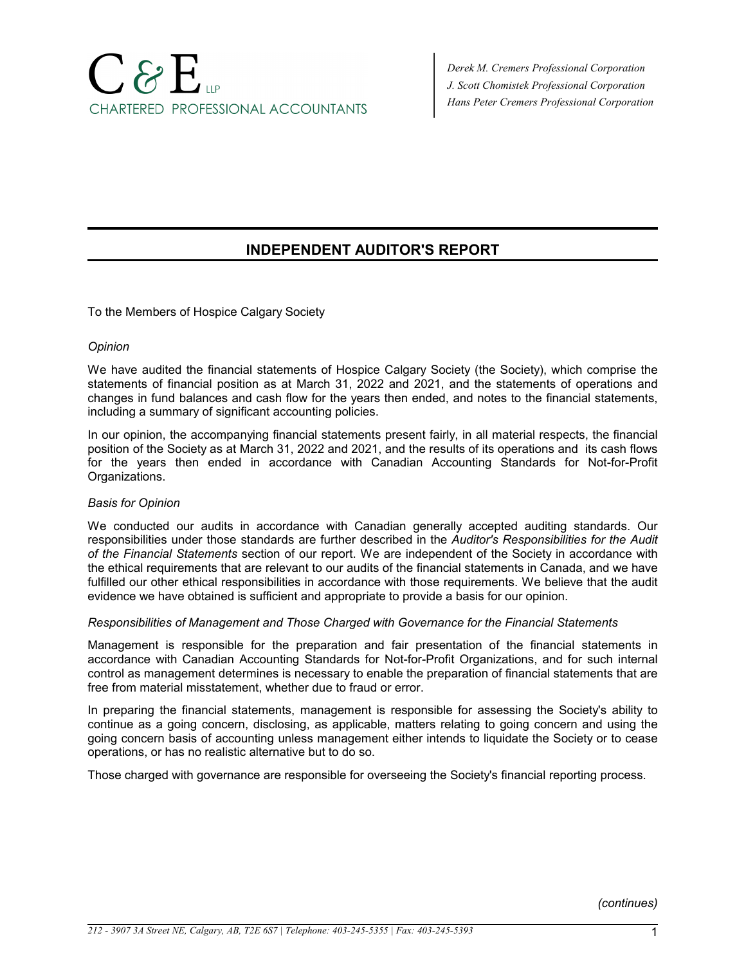# $\bigcap \mathcal{B} \mathsf{E}_\mathsf{u}$ CHARTERED PROFESSIONAL ACCOUNTANTS

*Derek M. Cremers Professional Corporation J. Scott Chomistek Professional Corporation Hans Peter Cremers Professional Corporation*

# **INDEPENDENT AUDITOR'S REPORT**

To the Members of Hospice Calgary Society

#### *Opinion*

We have audited the financial statements of Hospice Calgary Society (the Society), which comprise the statements of financial position as at March 31, 2022 and 2021, and the statements of operations and changes in fund balances and cash flow for the years then ended, and notes to the financial statements, including a summary of significant accounting policies.

In our opinion, the accompanying financial statements present fairly, in all material respects, the financial position of the Society as at March 31, 2022 and 2021, and the results of its operations and its cash flows for the years then ended in accordance with Canadian Accounting Standards for Not-for-Profit Organizations.

#### *Basis for Opinion*

We conducted our audits in accordance with Canadian generally accepted auditing standards. Our responsibilities under those standards are further described in the *Auditor's Responsibilities for the Audit of the Financial Statements* section of our report. We are independent of the Society in accordance with the ethical requirements that are relevant to our audits of the financial statements in Canada, and we have fulfilled our other ethical responsibilities in accordance with those requirements. We believe that the audit evidence we have obtained is sufficient and appropriate to provide a basis for our opinion.

#### *Responsibilities of Management and Those Charged with Governance for the Financial Statements*

Management is responsible for the preparation and fair presentation of the financial statements in accordance with Canadian Accounting Standards for Not-for-Profit Organizations, and for such internal control as management determines is necessary to enable the preparation of financial statements that are free from material misstatement, whether due to fraud or error.

In preparing the financial statements, management is responsible for assessing the Society's ability to continue as a going concern, disclosing, as applicable, matters relating to going concern and using the going concern basis of accounting unless management either intends to liquidate the Society or to cease operations, or has no realistic alternative but to do so.

Those charged with governance are responsible for overseeing the Society's financial reporting process.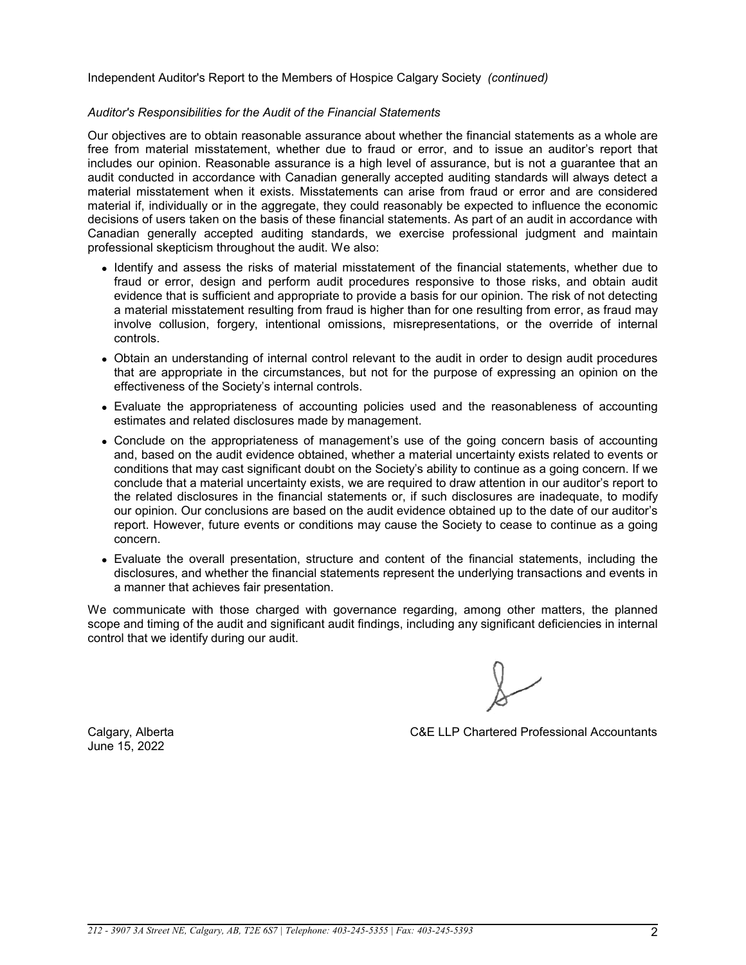Independent Auditor's Report to the Members of Hospice Calgary Society *(continued)*

#### *Auditor's Responsibilities for the Audit of the Financial Statements*

Our objectives are to obtain reasonable assurance about whether the financial statements as a whole are free from material misstatement, whether due to fraud or error, and to issue an auditor's report that includes our opinion. Reasonable assurance is a high level of assurance, but is not a guarantee that an audit conducted in accordance with Canadian generally accepted auditing standards will always detect a material misstatement when it exists. Misstatements can arise from fraud or error and are considered material if, individually or in the aggregate, they could reasonably be expected to influence the economic decisions of users taken on the basis of these financial statements. As part of an audit in accordance with Canadian generally accepted auditing standards, we exercise professional judgment and maintain professional skepticism throughout the audit. We also:

- Identify and assess the risks of material misstatement of the financial statements, whether due to fraud or error, design and perform audit procedures responsive to those risks, and obtain audit evidence that is sufficient and appropriate to provide a basis for our opinion. The risk of not detecting a material misstatement resulting from fraud is higher than for one resulting from error, as fraud may involve collusion, forgery, intentional omissions, misrepresentations, or the override of internal controls.
- Obtain an understanding of internal control relevant to the audit in order to design audit procedures that are appropriate in the circumstances, but not for the purpose of expressing an opinion on the effectiveness of the Society's internal controls.
- Evaluate the appropriateness of accounting policies used and the reasonableness of accounting estimates and related disclosures made by management.
- Conclude on the appropriateness of management's use of the going concern basis of accounting and, based on the audit evidence obtained, whether a material uncertainty exists related to events or conditions that may cast significant doubt on the Society's ability to continue as a going concern. If we conclude that a material uncertainty exists, we are required to draw attention in our auditor's report to the related disclosures in the financial statements or, if such disclosures are inadequate, to modify our opinion. Our conclusions are based on the audit evidence obtained up to the date of our auditor's report. However, future events or conditions may cause the Society to cease to continue as a going concern.
- Evaluate the overall presentation, structure and content of the financial statements, including the disclosures, and whether the financial statements represent the underlying transactions and events in a manner that achieves fair presentation.

We communicate with those charged with governance regarding, among other matters, the planned scope and timing of the audit and significant audit findings, including any significant deficiencies in internal control that we identify during our audit.

June 15, 2022

Calgary, Alberta C&E LLP Chartered Professional Accountants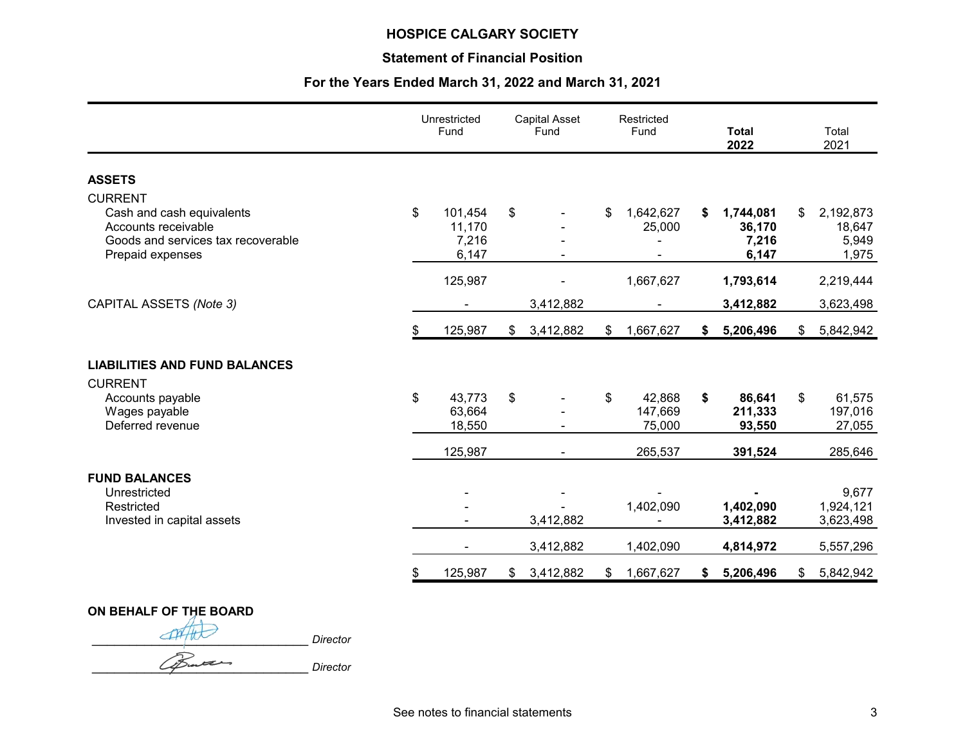## **Statement of Financial Position**

|                                                                                                            | Unrestricted<br>Fund                      |               | <b>Capital Asset</b><br>Fund | Restricted<br>Fund |                             | <b>Total</b><br>2022 |                                       | Total<br>2021                               |
|------------------------------------------------------------------------------------------------------------|-------------------------------------------|---------------|------------------------------|--------------------|-----------------------------|----------------------|---------------------------------------|---------------------------------------------|
| <b>ASSETS</b>                                                                                              |                                           |               |                              |                    |                             |                      |                                       |                                             |
| <b>CURRENT</b>                                                                                             |                                           |               |                              |                    |                             |                      |                                       |                                             |
| Cash and cash equivalents<br>Accounts receivable<br>Goods and services tax recoverable<br>Prepaid expenses | \$<br>101,454<br>11,170<br>7,216<br>6,147 | \$            |                              | \$                 | 1,642,627<br>25,000         | \$                   | 1,744,081<br>36,170<br>7,216<br>6,147 | \$<br>2,192,873<br>18,647<br>5,949<br>1,975 |
|                                                                                                            | 125,987                                   |               |                              |                    | 1,667,627                   |                      | 1,793,614                             | 2,219,444                                   |
| CAPITAL ASSETS (Note 3)                                                                                    |                                           |               | 3,412,882                    |                    |                             |                      | 3,412,882                             | 3,623,498                                   |
|                                                                                                            | \$<br>125,987                             | $\mathsf{\$}$ | 3,412,882                    | \$                 | 1,667,627                   | \$                   | 5,206,496                             | \$<br>5,842,942                             |
| <b>LIABILITIES AND FUND BALANCES</b><br><b>CURRENT</b>                                                     |                                           |               |                              |                    |                             |                      |                                       |                                             |
| Accounts payable<br>Wages payable<br>Deferred revenue                                                      | \$<br>43,773<br>63,664<br>18,550          | \$            |                              | \$                 | 42,868<br>147,669<br>75,000 | \$                   | 86,641<br>211,333<br>93,550           | \$<br>61,575<br>197,016<br>27,055           |
|                                                                                                            | 125,987                                   |               |                              |                    | 265,537                     |                      | 391,524                               | 285,646                                     |
| <b>FUND BALANCES</b><br>Unrestricted<br>Restricted<br>Invested in capital assets                           |                                           |               | 3,412,882                    |                    | 1,402,090                   |                      | 1,402,090<br>3,412,882                | 9,677<br>1,924,121<br>3,623,498             |
|                                                                                                            |                                           |               | 3,412,882                    |                    | 1,402,090                   |                      | 4,814,972                             | 5,557,296                                   |
|                                                                                                            | \$<br>125,987                             |               | \$3,412,882                  | \$                 | 1,667,627                   | $\mathsf{\$}$        | 5,206,496                             | \$<br>5,842,942                             |

**ON BEHALF OF THE BOARD** \_\_\_\_\_\_\_\_\_\_\_\_\_\_\_\_\_\_\_\_\_\_\_\_\_\_\_\_\_ *Director* \_\_\_\_\_\_\_\_\_\_\_\_\_\_\_\_\_\_\_\_\_\_\_\_\_\_\_\_\_ *Director*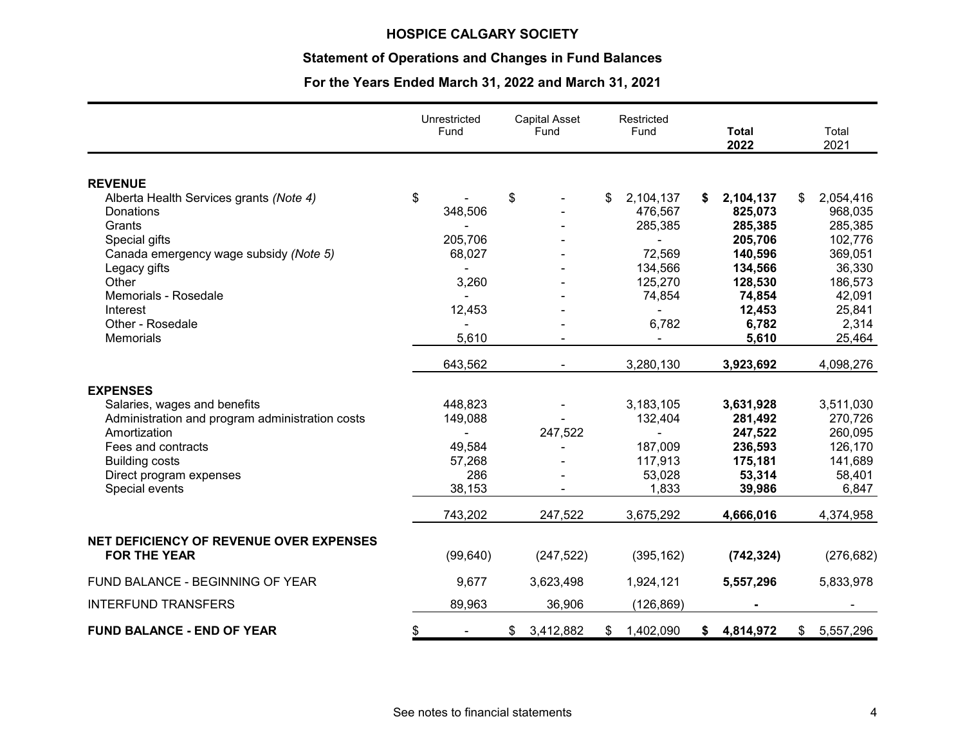## **Statement of Operations and Changes in Fund Balances**

|                                                           | Unrestricted<br>Fund | <b>Capital Asset</b><br>Fund | Restricted<br>Fund | <b>Total</b><br>2022 | Total<br>2021   |
|-----------------------------------------------------------|----------------------|------------------------------|--------------------|----------------------|-----------------|
|                                                           |                      |                              |                    |                      |                 |
| <b>REVENUE</b><br>Alberta Health Services grants (Note 4) | \$                   | \$                           | \$<br>2,104,137    | 2,104,137<br>\$      | 2,054,416<br>\$ |
| Donations                                                 | 348,506              |                              | 476,567            | 825,073              | 968,035         |
| Grants                                                    |                      |                              | 285,385            | 285,385              | 285,385         |
| Special gifts                                             | 205,706              |                              |                    | 205,706              | 102,776         |
| Canada emergency wage subsidy (Note 5)                    | 68,027               |                              | 72,569             | 140,596              | 369,051         |
| Legacy gifts                                              |                      |                              | 134,566            | 134,566              | 36,330          |
| Other                                                     | 3,260                |                              | 125,270            | 128,530              | 186,573         |
| Memorials - Rosedale                                      |                      |                              | 74,854             | 74,854               | 42,091          |
| Interest                                                  | 12,453               |                              | $\blacksquare$     | 12,453               | 25,841          |
| Other - Rosedale                                          |                      |                              | 6,782              | 6,782                | 2,314           |
| Memorials                                                 | 5,610                |                              |                    | 5,610                | 25,464          |
|                                                           | 643,562              |                              | 3,280,130          | 3,923,692            | 4,098,276       |
| <b>EXPENSES</b>                                           |                      |                              |                    |                      |                 |
| Salaries, wages and benefits                              | 448,823              |                              | 3,183,105          | 3,631,928            | 3,511,030       |
| Administration and program administration costs           | 149,088              |                              | 132,404            | 281,492              | 270,726         |
| Amortization                                              |                      | 247,522                      | $\overline{a}$     | 247,522              | 260,095         |
| Fees and contracts                                        | 49,584               |                              | 187,009            | 236,593              | 126,170         |
| <b>Building costs</b>                                     | 57,268               |                              | 117,913            | 175,181              | 141,689         |
| Direct program expenses                                   | 286                  |                              | 53,028             | 53,314               | 58,401          |
| Special events                                            | 38,153               |                              | 1,833              | 39,986               | 6,847           |
|                                                           | 743,202              | 247,522                      | 3,675,292          | 4,666,016            | 4,374,958       |
| NET DEFICIENCY OF REVENUE OVER EXPENSES                   |                      |                              |                    |                      |                 |
| <b>FOR THE YEAR</b>                                       | (99, 640)            | (247, 522)                   | (395, 162)         | (742, 324)           | (276, 682)      |
| FUND BALANCE - BEGINNING OF YEAR                          | 9,677                | 3,623,498                    | 1,924,121          | 5,557,296            | 5,833,978       |
| <b>INTERFUND TRANSFERS</b>                                | 89,963               | 36,906                       | (126, 869)         |                      |                 |
| <b>FUND BALANCE - END OF YEAR</b>                         | \$                   | 3,412,882<br>\$              | 1,402,090<br>\$    | 4,814,972<br>\$      | \$<br>5,557,296 |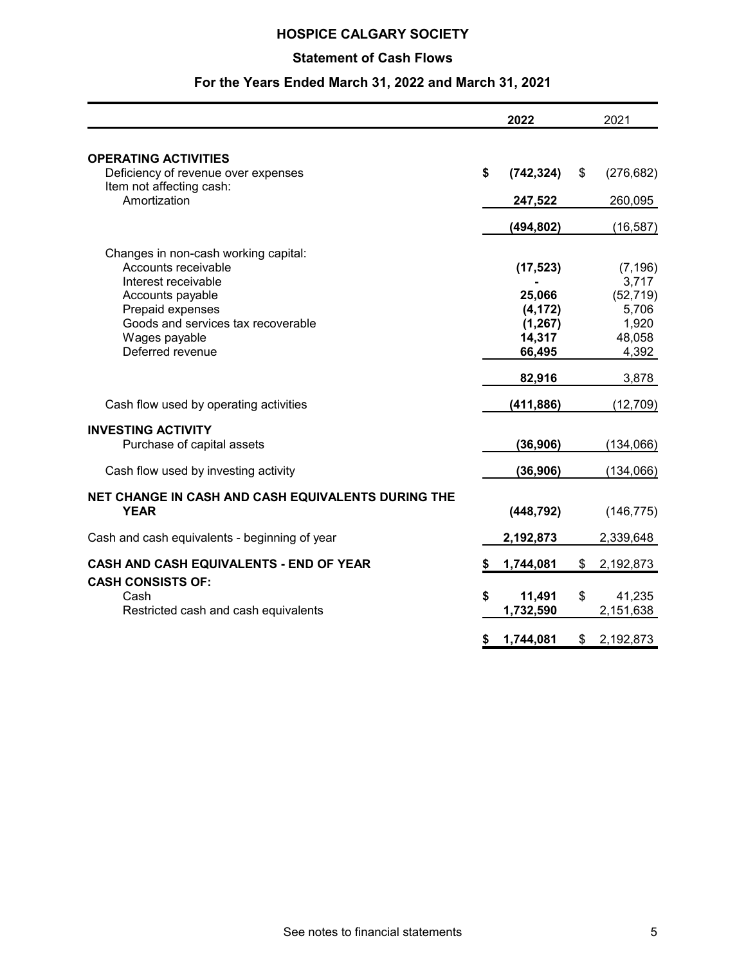# **Statement of Cash Flows**

|                                                                                                                                                                                                       | 2022                                                            | 2021                                                                |
|-------------------------------------------------------------------------------------------------------------------------------------------------------------------------------------------------------|-----------------------------------------------------------------|---------------------------------------------------------------------|
| <b>OPERATING ACTIVITIES</b><br>Deficiency of revenue over expenses                                                                                                                                    | \$<br>(742, 324)                                                | \$<br>(276, 682)                                                    |
| Item not affecting cash:<br>Amortization                                                                                                                                                              | 247,522                                                         | 260,095                                                             |
|                                                                                                                                                                                                       | (494, 802)                                                      | (16, 587)                                                           |
| Changes in non-cash working capital:<br>Accounts receivable<br>Interest receivable<br>Accounts payable<br>Prepaid expenses<br>Goods and services tax recoverable<br>Wages payable<br>Deferred revenue | (17, 523)<br>25,066<br>(4, 172)<br>(1, 267)<br>14,317<br>66,495 | (7, 196)<br>3,717<br>(52, 719)<br>5,706<br>1,920<br>48,058<br>4,392 |
| Cash flow used by operating activities                                                                                                                                                                | 82,916<br>(411, 886)                                            | 3,878<br>(12, 709)                                                  |
| <b>INVESTING ACTIVITY</b><br>Purchase of capital assets                                                                                                                                               | (36, 906)                                                       | (134,066)                                                           |
| Cash flow used by investing activity                                                                                                                                                                  | (36,906)                                                        | (134,066)                                                           |
| NET CHANGE IN CASH AND CASH EQUIVALENTS DURING THE<br><b>YEAR</b>                                                                                                                                     | (448, 792)                                                      | (146, 775)                                                          |
| Cash and cash equivalents - beginning of year                                                                                                                                                         | 2,192,873                                                       | 2,339,648                                                           |
| CASH AND CASH EQUIVALENTS - END OF YEAR                                                                                                                                                               | \$<br>1,744,081                                                 | \$<br>2,192,873                                                     |
| <b>CASH CONSISTS OF:</b><br>Cash<br>Restricted cash and cash equivalents                                                                                                                              | \$<br>11,491<br>1,732,590                                       | \$<br>41,235<br>2,151,638                                           |
|                                                                                                                                                                                                       | \$<br>1,744,081                                                 | \$<br>2,192,873                                                     |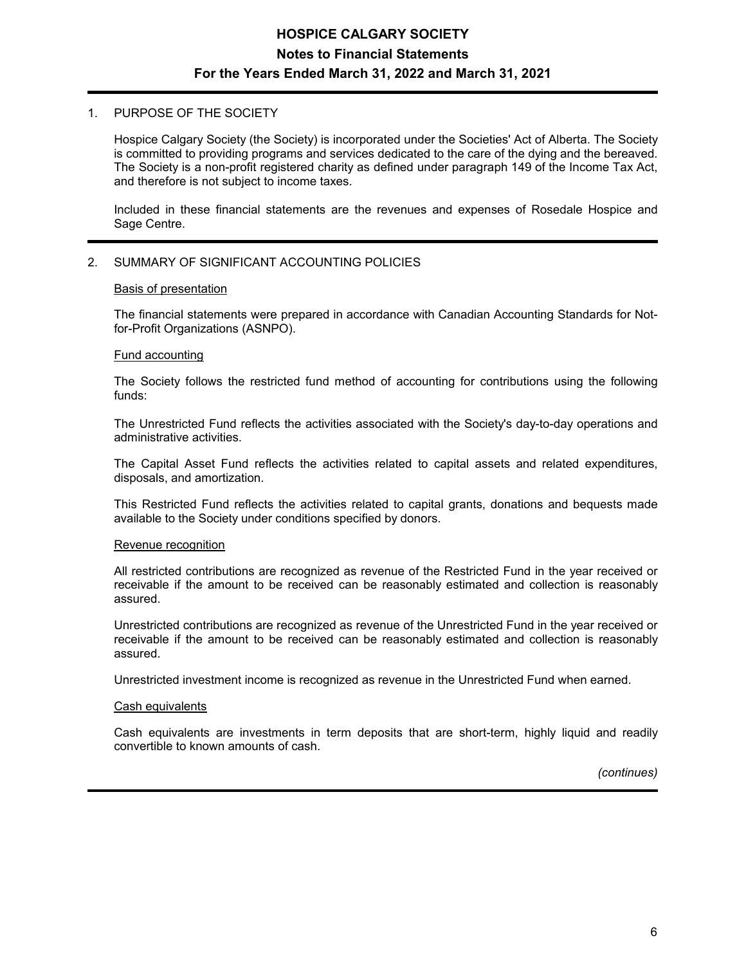# **HOSPICE CALGARY SOCIETY Notes to Financial Statements For the Years Ended March 31, 2022 and March 31, 2021**

#### 1. PURPOSE OF THE SOCIETY

Hospice Calgary Society (the Society) is incorporated under the Societies' Act of Alberta. The Society is committed to providing programs and services dedicated to the care of the dying and the bereaved. The Society is a non-profit registered charity as defined under paragraph 149 of the Income Tax Act, and therefore is not subject to income taxes.

Included in these financial statements are the revenues and expenses of Rosedale Hospice and Sage Centre.

#### 2. SUMMARY OF SIGNIFICANT ACCOUNTING POLICIES

#### Basis of presentation

The financial statements were prepared in accordance with Canadian Accounting Standards for Notfor-Profit Organizations (ASNPO).

#### Fund accounting

The Society follows the restricted fund method of accounting for contributions using the following funds:

The Unrestricted Fund reflects the activities associated with the Society's day-to-day operations and administrative activities.

The Capital Asset Fund reflects the activities related to capital assets and related expenditures, disposals, and amortization.

This Restricted Fund reflects the activities related to capital grants, donations and bequests made available to the Society under conditions specified by donors.

#### Revenue recognition

All restricted contributions are recognized as revenue of the Restricted Fund in the year received or receivable if the amount to be received can be reasonably estimated and collection is reasonably assured.

Unrestricted contributions are recognized as revenue of the Unrestricted Fund in the year received or receivable if the amount to be received can be reasonably estimated and collection is reasonably assured.

Unrestricted investment income is recognized as revenue in the Unrestricted Fund when earned.

#### Cash equivalents

Cash equivalents are investments in term deposits that are short-term, highly liquid and readily convertible to known amounts of cash.

*(continues)*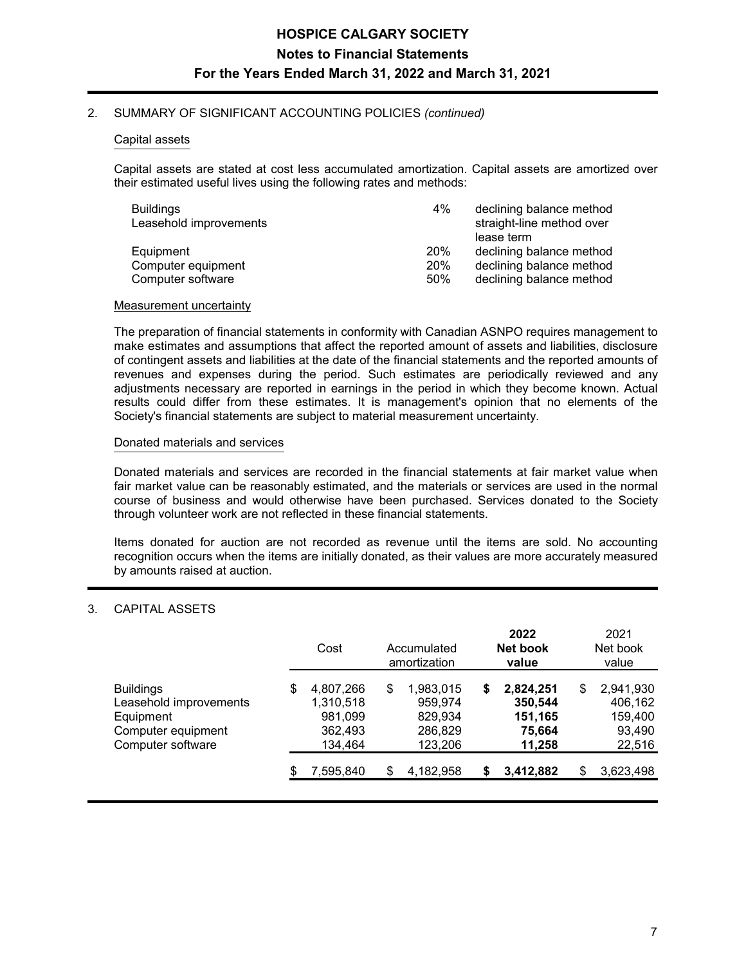#### 2. SUMMARY OF SIGNIFICANT ACCOUNTING POLICIES *(continued)*

#### Capital assets

Capital assets are stated at cost less accumulated amortization. Capital assets are amortized over their estimated useful lives using the following rates and methods:

| Buildings              | 4%         | declining balance method  |
|------------------------|------------|---------------------------|
| Leasehold improvements |            | straight-line method over |
|                        |            | lease term                |
| Equipment              | <b>20%</b> | declining balance method  |
| Computer equipment     | <b>20%</b> | declining balance method  |
| Computer software      | 50%        | declining balance method  |

#### Measurement uncertainty

The preparation of financial statements in conformity with Canadian ASNPO requires management to make estimates and assumptions that affect the reported amount of assets and liabilities, disclosure of contingent assets and liabilities at the date of the financial statements and the reported amounts of revenues and expenses during the period. Such estimates are periodically reviewed and any adjustments necessary are reported in earnings in the period in which they become known. Actual results could differ from these estimates. It is management's opinion that no elements of the Society's financial statements are subject to material measurement uncertainty.

#### Donated materials and services

Donated materials and services are recorded in the financial statements at fair market value when fair market value can be reasonably estimated, and the materials or services are used in the normal course of business and would otherwise have been purchased. Services donated to the Society through volunteer work are not reflected in these financial statements.

Items donated for auction are not recorded as revenue until the items are sold. No accounting recognition occurs when the items are initially donated, as their values are more accurately measured by amounts raised at auction.

#### 3. CAPITAL ASSETS

|                                                                                                    |     | Cost<br>Accumulated<br>amortization                     |    |                                                       | 2022<br>Net book<br>value | 2021<br>Net book<br>value                           |                                                           |
|----------------------------------------------------------------------------------------------------|-----|---------------------------------------------------------|----|-------------------------------------------------------|---------------------------|-----------------------------------------------------|-----------------------------------------------------------|
| <b>Buildings</b><br>Leasehold improvements<br>Equipment<br>Computer equipment<br>Computer software | S   | 4,807,266<br>1,310,518<br>981,099<br>362,493<br>134,464 | \$ | 1,983,015<br>959,974<br>829,934<br>286,829<br>123,206 | 5                         | 2,824,251<br>350,544<br>151,165<br>75,664<br>11,258 | \$<br>2,941,930<br>406,162<br>159,400<br>93,490<br>22,516 |
|                                                                                                    | \$. | 7,595,840                                               | \$ | 4,182,958                                             |                           | 3,412,882                                           | \$<br>3,623,498                                           |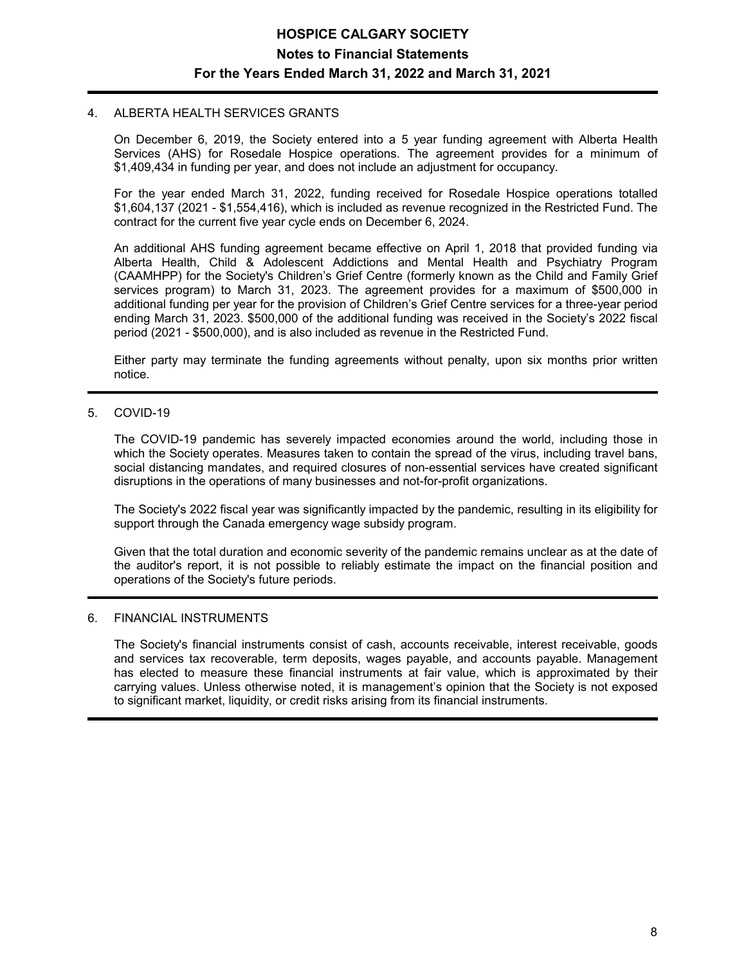#### 4. ALBERTA HEALTH SERVICES GRANTS

On December 6, 2019, the Society entered into a 5 year funding agreement with Alberta Health Services (AHS) for Rosedale Hospice operations. The agreement provides for a minimum of \$1,409,434 in funding per year, and does not include an adjustment for occupancy.

For the year ended March 31, 2022, funding received for Rosedale Hospice operations totalled \$1,604,137 (2021 - \$1,554,416), which is included as revenue recognized in the Restricted Fund. The contract for the current five year cycle ends on December 6, 2024.

An additional AHS funding agreement became effective on April 1, 2018 that provided funding via Alberta Health, Child & Adolescent Addictions and Mental Health and Psychiatry Program (CAAMHPP) for the Society's Children's Grief Centre (formerly known as the Child and Family Grief services program) to March 31, 2023. The agreement provides for a maximum of \$500,000 in additional funding per year for the provision of Children's Grief Centre services for a three-year period ending March 31, 2023. \$500,000 of the additional funding was received in the Society's 2022 fiscal period (2021 - \$500,000), and is also included as revenue in the Restricted Fund.

Either party may terminate the funding agreements without penalty, upon six months prior written notice.

#### 5. COVID-19

The COVID-19 pandemic has severely impacted economies around the world, including those in which the Society operates. Measures taken to contain the spread of the virus, including travel bans, social distancing mandates, and required closures of non-essential services have created significant disruptions in the operations of many businesses and not-for-profit organizations.

The Society's 2022 fiscal year was significantly impacted by the pandemic, resulting in its eligibility for support through the Canada emergency wage subsidy program.

Given that the total duration and economic severity of the pandemic remains unclear as at the date of the auditor's report, it is not possible to reliably estimate the impact on the financial position and operations of the Society's future periods.

#### 6. FINANCIAL INSTRUMENTS

The Society's financial instruments consist of cash, accounts receivable, interest receivable, goods and services tax recoverable, term deposits, wages payable, and accounts payable. Management has elected to measure these financial instruments at fair value, which is approximated by their carrying values. Unless otherwise noted, it is management's opinion that the Society is not exposed to significant market, liquidity, or credit risks arising from its financial instruments.